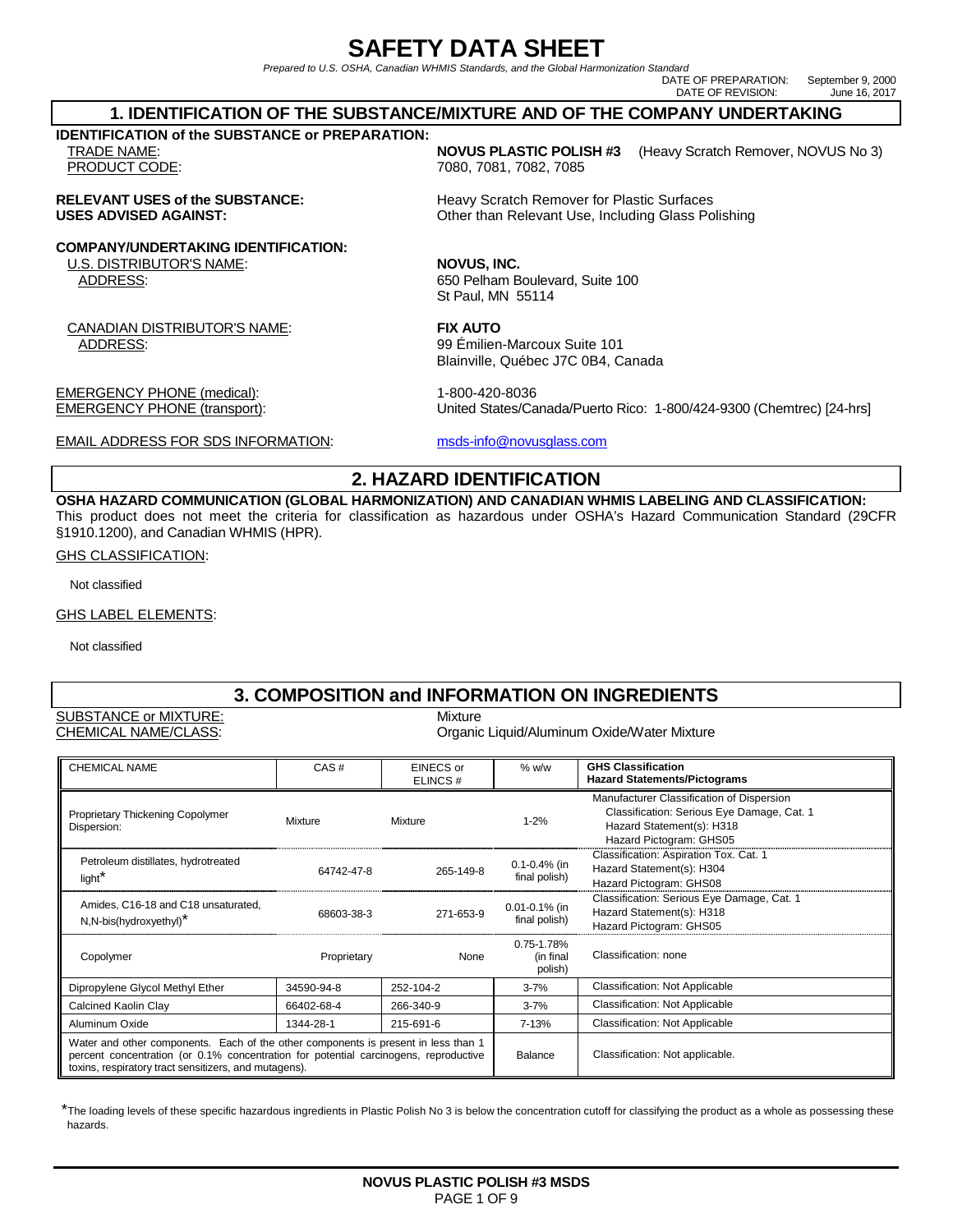# **SAFETY DATA SHEET**

Prepared to U.S. OSHA, Canadian WHMIS Standards, and the Global Harmonization Standard

DATE OF PREPARATION: September 9, 2000 DATE OF REVISION: June 16, 2017

#### **1. IDENTIFICATION OF THE SUBSTANCE/MIXTURE AND OF THE COMPANY UNDERTAKING**

**IDENTIFICATION of the SUBSTANCE or PREPARATION:** 

**COMPANY/UNDERTAKING IDENTIFICATION:**

U.S. DISTRIBUTOR'S NAME: **NOVUS, INC.**

CANADIAN DISTRIBUTOR'S NAME: **FIX AUTO**  ADDRESS: 99 Émilien-Marcoux Suite 101

EMERGENCY PHONE (medical): 1-800-420-8036

EMAIL ADDRESS FOR SDS INFORMATION: msds-info@novusglass.com

TRADE NAME: **NOVUS PLASTIC POLISH #3** (Heavy Scratch Remover, NOVUS No 3) PRODUCT CODE: 7080, 7081, 7082, 7085

**RELEVANT USES of the SUBSTANCE:** Heavy Scratch Remover for Plastic Surfaces<br>
USES ADVISED AGAINST: CREAT CORPORT OF CHEAT Of CHEAT USE. Including Glass Po **Other than Relevant Use, Including Glass Polishing** 

ADDRESS: 650 Pelham Boulevard, Suite 100 St Paul, MN 55114

Blainville, Québec J7C 0B4, Canada

EMERGENCY PHONE (transport): United States/Canada/Puerto Rico: 1-800/424-9300 (Chemtrec) [24-hrs]

### **2. HAZARD IDENTIFICATION**

**OSHA HAZARD COMMUNICATION (GLOBAL HARMONIZATION) AND CANADIAN WHMIS LABELING AND CLASSIFICATION:**  This product does not meet the criteria for classification as hazardous under OSHA's Hazard Communication Standard (29CFR §1910.1200), and Canadian WHMIS (HPR).

GHS CLASSIFICATION:

Not classified

GHS LABEL ELEMENTS:

Not classified

### **3. COMPOSITION and INFORMATION ON INGREDIENTS**

SUBSTANCE or MIXTURE: Mixture

#### CHEMICAL NAME/CLASS: Organic Liquid/Aluminum Oxide/Water Mixture

| <b>CHEMICAL NAME</b>                                                                                                                                                                                                                | CAS#        | EINECS or<br>ELINCS# | $%$ w/w                            | <b>GHS Classification</b><br><b>Hazard Statements/Pictograms</b>                                                                                |
|-------------------------------------------------------------------------------------------------------------------------------------------------------------------------------------------------------------------------------------|-------------|----------------------|------------------------------------|-------------------------------------------------------------------------------------------------------------------------------------------------|
| Proprietary Thickening Copolymer<br>Dispersion:                                                                                                                                                                                     | Mixture     | Mixture              | $1 - 2%$                           | Manufacturer Classification of Dispersion<br>Classification: Serious Eye Damage, Cat. 1<br>Hazard Statement(s): H318<br>Hazard Pictogram: GHS05 |
| Petroleum distillates, hydrotreated<br>light <sup>*</sup>                                                                                                                                                                           | 64742-47-8  | 265-149-8            | $0.1 - 0.4%$ (in<br>final polish)  | Classification: Aspiration Tox. Cat. 1<br>Hazard Statement(s): H304<br>Hazard Pictogram: GHS08                                                  |
| Amides, C16-18 and C18 unsaturated,<br>N,N-bis(hydroxyethyl)*                                                                                                                                                                       | 68603-38-3  | 271-653-9            | 0.01-0.1% (in<br>final polish)     | Classification: Serious Eye Damage, Cat. 1<br>Hazard Statement(s): H318<br>Hazard Pictogram: GHS05                                              |
| Copolymer                                                                                                                                                                                                                           | Proprietary | None                 | 0.75-1.78%<br>(in final<br>polish) | Classification: none                                                                                                                            |
| Dipropylene Glycol Methyl Ether                                                                                                                                                                                                     | 34590-94-8  | 252-104-2            | $3 - 7%$                           | <b>Classification: Not Applicable</b>                                                                                                           |
| Calcined Kaolin Clay                                                                                                                                                                                                                | 66402-68-4  | 266-340-9            | $3 - 7%$                           | Classification: Not Applicable                                                                                                                  |
| Aluminum Oxide                                                                                                                                                                                                                      | 1344-28-1   | 215-691-6            | 7-13%                              | Classification: Not Applicable                                                                                                                  |
| Water and other components. Each of the other components is present in less than 1<br>percent concentration (or 0.1% concentration for potential carcinogens, reproductive<br>toxins, respiratory tract sensitizers, and mutagens). |             |                      | Balance                            | Classification: Not applicable.                                                                                                                 |

\*The loading levels of these specific hazardous ingredients in Plastic Polish No 3 is below the concentration cutoff for classifying the product as a whole as possessing these hazards.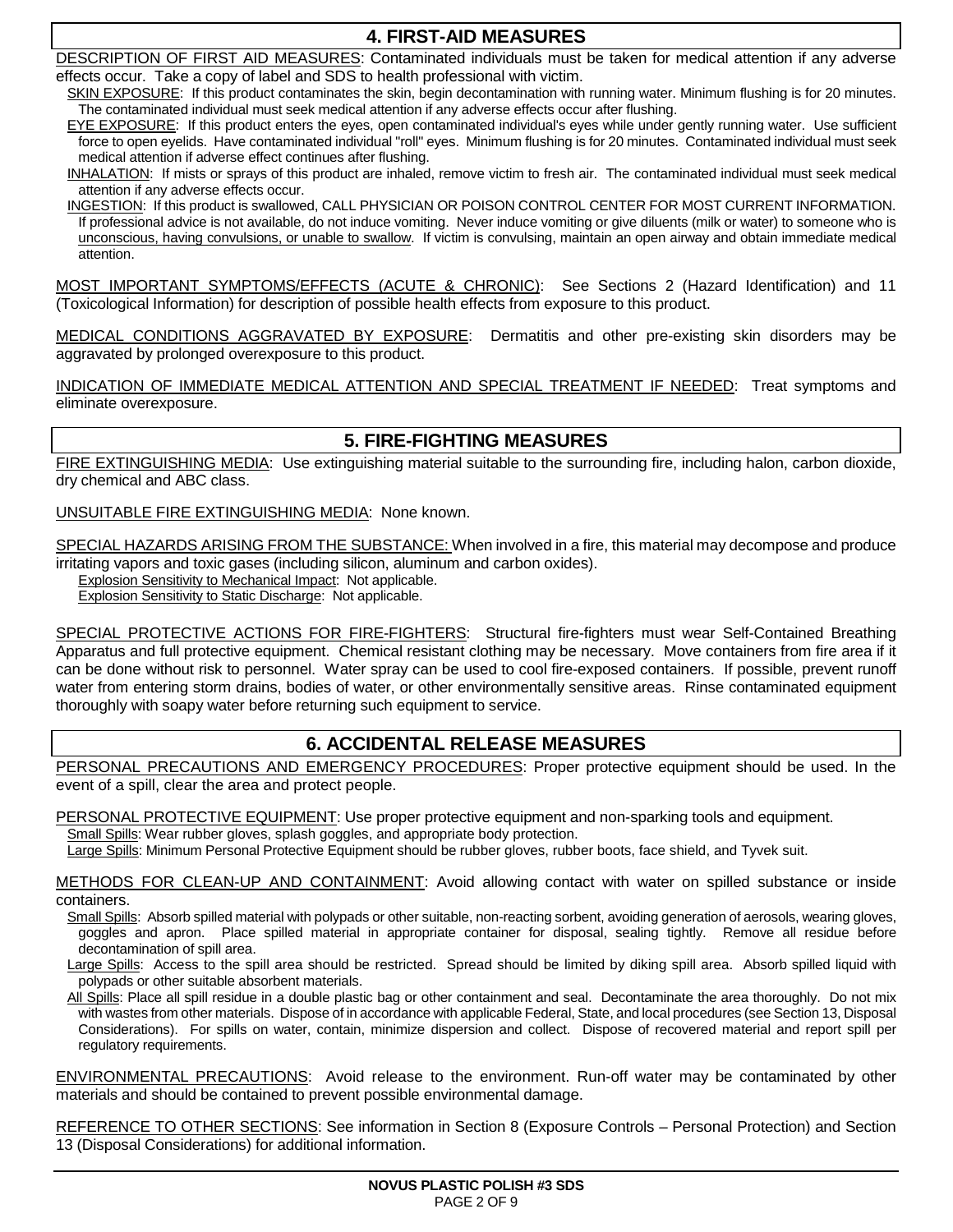## **4. FIRST-AID MEASURES**

DESCRIPTION OF FIRST AID MEASURES: Contaminated individuals must be taken for medical attention if any adverse effects occur. Take a copy of label and SDS to health professional with victim.

SKIN EXPOSURE: If this product contaminates the skin, begin decontamination with running water. Minimum flushing is for 20 minutes. The contaminated individual must seek medical attention if any adverse effects occur after flushing.

EYE EXPOSURE: If this product enters the eyes, open contaminated individual's eyes while under gently running water. Use sufficient force to open eyelids. Have contaminated individual "roll" eyes. Minimum flushing is for 20 minutes. Contaminated individual must seek medical attention if adverse effect continues after flushing.

INHALATION: If mists or sprays of this product are inhaled, remove victim to fresh air. The contaminated individual must seek medical attention if any adverse effects occur.

INGESTION: If this product is swallowed, CALL PHYSICIAN OR POISON CONTROL CENTER FOR MOST CURRENT INFORMATION. If professional advice is not available, do not induce vomiting. Never induce vomiting or give diluents (milk or water) to someone who is unconscious, having convulsions, or unable to swallow. If victim is convulsing, maintain an open airway and obtain immediate medical attention.

MOST IMPORTANT SYMPTOMS/EFFECTS (ACUTE & CHRONIC): See Sections 2 (Hazard Identification) and 11 (Toxicological Information) for description of possible health effects from exposure to this product.

MEDICAL CONDITIONS AGGRAVATED BY EXPOSURE: Dermatitis and other pre-existing skin disorders may be aggravated by prolonged overexposure to this product.

INDICATION OF IMMEDIATE MEDICAL ATTENTION AND SPECIAL TREATMENT IF NEEDED: Treat symptoms and eliminate overexposure.

# **5. FIRE-FIGHTING MEASURES**

FIRE EXTINGUISHING MEDIA: Use extinguishing material suitable to the surrounding fire, including halon, carbon dioxide, dry chemical and ABC class.

### UNSUITABLE FIRE EXTINGUISHING MEDIA: None known.

SPECIAL HAZARDS ARISING FROM THE SUBSTANCE: When involved in a fire, this material may decompose and produce irritating vapors and toxic gases (including silicon, aluminum and carbon oxides).

Explosion Sensitivity to Mechanical Impact: Not applicable.

Explosion Sensitivity to Static Discharge: Not applicable.

SPECIAL PROTECTIVE ACTIONS FOR FIRE-FIGHTERS: Structural fire-fighters must wear Self-Contained Breathing Apparatus and full protective equipment. Chemical resistant clothing may be necessary. Move containers from fire area if it can be done without risk to personnel. Water spray can be used to cool fire-exposed containers. If possible, prevent runoff water from entering storm drains, bodies of water, or other environmentally sensitive areas. Rinse contaminated equipment thoroughly with soapy water before returning such equipment to service.

# **6. ACCIDENTAL RELEASE MEASURES**

PERSONAL PRECAUTIONS AND EMERGENCY PROCEDURES: Proper protective equipment should be used. In the event of a spill, clear the area and protect people.

PERSONAL PROTECTIVE EQUIPMENT: Use proper protective equipment and non-sparking tools and equipment.

Small Spills: Wear rubber gloves, splash goggles, and appropriate body protection.

Large Spills: Minimum Personal Protective Equipment should be rubber gloves, rubber boots, face shield, and Tyvek suit.

METHODS FOR CLEAN-UP AND CONTAINMENT: Avoid allowing contact with water on spilled substance or inside containers.

- Small Spills: Absorb spilled material with polypads or other suitable, non-reacting sorbent, avoiding generation of aerosols, wearing gloves, goggles and apron. Place spilled material in appropriate container for disposal, sealing tightly. Remove all residue before decontamination of spill area.
- Large Spills: Access to the spill area should be restricted. Spread should be limited by diking spill area. Absorb spilled liquid with polypads or other suitable absorbent materials.
- All Spills: Place all spill residue in a double plastic bag or other containment and seal. Decontaminate the area thoroughly. Do not mix with wastes from other materials. Dispose of in accordance with applicable Federal, State, and local procedures (see Section 13, Disposal Considerations). For spills on water, contain, minimize dispersion and collect. Dispose of recovered material and report spill per regulatory requirements.

ENVIRONMENTAL PRECAUTIONS: Avoid release to the environment. Run-off water may be contaminated by other materials and should be contained to prevent possible environmental damage.

REFERENCE TO OTHER SECTIONS: See information in Section 8 (Exposure Controls – Personal Protection) and Section 13 (Disposal Considerations) for additional information.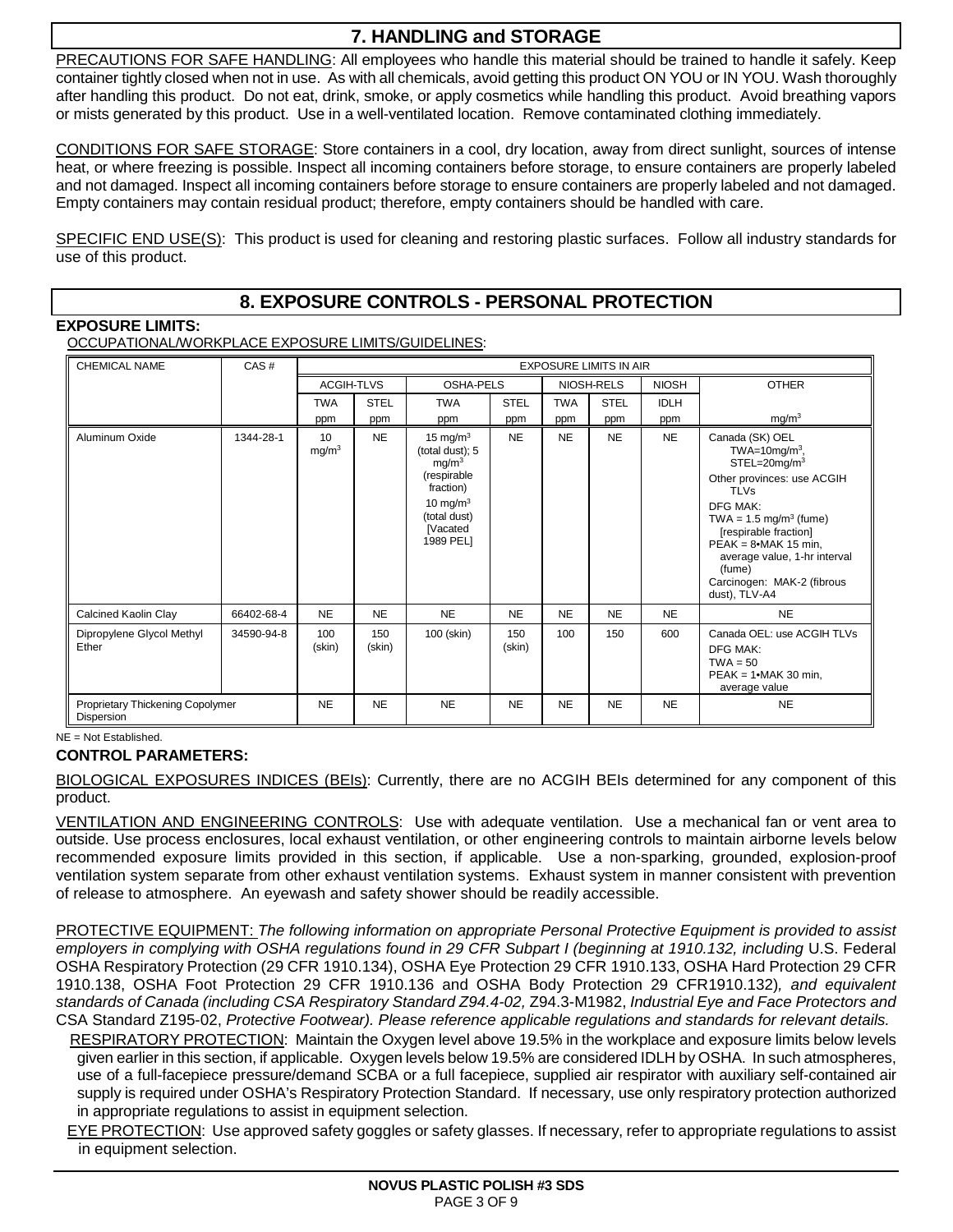# **7. HANDLING and STORAGE**

PRECAUTIONS FOR SAFE HANDLING: All employees who handle this material should be trained to handle it safely. Keep container tightly closed when not in use. As with all chemicals, avoid getting this product ON YOU or IN YOU. Wash thoroughly after handling this product. Do not eat, drink, smoke, or apply cosmetics while handling this product. Avoid breathing vapors or mists generated by this product. Use in a well-ventilated location. Remove contaminated clothing immediately.

CONDITIONS FOR SAFE STORAGE: Store containers in a cool, dry location, away from direct sunlight, sources of intense heat, or where freezing is possible. Inspect all incoming containers before storage, to ensure containers are properly labeled and not damaged. Inspect all incoming containers before storage to ensure containers are properly labeled and not damaged. Empty containers may contain residual product; therefore, empty containers should be handled with care.

SPECIFIC END USE(S): This product is used for cleaning and restoring plastic surfaces. Follow all industry standards for use of this product.

# **8. EXPOSURE CONTROLS - PERSONAL PROTECTION**

**EXPOSURE LIMITS:** 

OCCUPATIONAL/WORKPLACE EXPOSURE LIMITS/GUIDELINES:

| <b>CHEMICAL NAME</b>                           | CAS#       | <b>EXPOSURE LIMITS IN AIR</b>        |               |                                                                                                                                               |               |            |             |              |                                                                                                                                                                                                                                                                                                                      |
|------------------------------------------------|------------|--------------------------------------|---------------|-----------------------------------------------------------------------------------------------------------------------------------------------|---------------|------------|-------------|--------------|----------------------------------------------------------------------------------------------------------------------------------------------------------------------------------------------------------------------------------------------------------------------------------------------------------------------|
|                                                |            | <b>ACGIH-TLVS</b>                    |               | OSHA-PELS                                                                                                                                     |               |            | NIOSH-RELS  | <b>NIOSH</b> | <b>OTHER</b>                                                                                                                                                                                                                                                                                                         |
|                                                |            | <b>TWA</b>                           | <b>STEL</b>   | <b>TWA</b>                                                                                                                                    | <b>STEL</b>   | <b>TWA</b> | <b>STEL</b> | <b>IDLH</b>  |                                                                                                                                                                                                                                                                                                                      |
|                                                |            | ppm                                  | ppm           | ppm                                                                                                                                           | ppm           | ppm        | ppm         | ppm          | mg/m <sup>3</sup>                                                                                                                                                                                                                                                                                                    |
| Aluminum Oxide                                 | 1344-28-1  | 10 <sup>1</sup><br>mg/m <sup>3</sup> | <b>NE</b>     | 15 mg/m $3$<br>(total dust); 5<br>mg/m <sup>3</sup><br>(respirable<br>fraction)<br>10 mg/m $3$<br>(total dust)<br><b>Nacated</b><br>1989 PEL1 | <b>NE</b>     | <b>NE</b>  | <b>NE</b>   | <b>NE</b>    | Canada (SK) OEL<br>TWA=10mg/m <sup>3</sup> ,<br>$STEL=20$ mg/m $3$<br>Other provinces: use ACGIH<br><b>TLVs</b><br><b>DFG MAK:</b><br>TWA = $1.5 \text{ mg/m}^3$ (fume)<br>[respirable fraction]<br>$PEAK = 8$ •MAK 15 min,<br>average value, 1-hr interval<br>(fume)<br>Carcinogen: MAK-2 (fibrous<br>dust), TLV-A4 |
| Calcined Kaolin Clay                           | 66402-68-4 | <b>NE</b>                            | <b>NE</b>     | <b>NE</b>                                                                                                                                     | <b>NE</b>     | <b>NE</b>  | <b>NE</b>   | <b>NE</b>    | <b>NE</b>                                                                                                                                                                                                                                                                                                            |
| Dipropylene Glycol Methyl<br>Ether             | 34590-94-8 | 100<br>(skin)                        | 150<br>(skin) | 100 (skin)                                                                                                                                    | 150<br>(skin) | 100        | 150         | 600          | Canada OEL: use ACGIH TLVs<br><b>DFG MAK:</b><br>$TWA = 50$<br>$PEAK = 1$ •MAK 30 min.<br>average value                                                                                                                                                                                                              |
| Proprietary Thickening Copolymer<br>Dispersion |            | <b>NE</b>                            | <b>NE</b>     | <b>NE</b>                                                                                                                                     | <b>NE</b>     | <b>NE</b>  | <b>NE</b>   | <b>NE</b>    | <b>NE</b>                                                                                                                                                                                                                                                                                                            |

NE = Not Established.

### **CONTROL PARAMETERS:**

BIOLOGICAL EXPOSURES INDICES (BEIs): Currently, there are no ACGIH BEIs determined for any component of this product.

VENTILATION AND ENGINEERING CONTROLS: Use with adequate ventilation. Use a mechanical fan or vent area to outside. Use process enclosures, local exhaust ventilation, or other engineering controls to maintain airborne levels below recommended exposure limits provided in this section, if applicable. Use a non-sparking, grounded, explosion-proof ventilation system separate from other exhaust ventilation systems. Exhaust system in manner consistent with prevention of release to atmosphere. An eyewash and safety shower should be readily accessible.

PROTECTIVE EQUIPMENT: The following information on appropriate Personal Protective Equipment is provided to assist employers in complying with OSHA regulations found in 29 CFR Subpart I (beginning at 1910.132, including U.S. Federal OSHA Respiratory Protection (29 CFR 1910.134), OSHA Eye Protection 29 CFR 1910.133, OSHA Hard Protection 29 CFR 1910.138, OSHA Foot Protection 29 CFR 1910.136 and OSHA Body Protection 29 CFR1910.132), and equivalent standards of Canada (including CSA Respiratory Standard Z94.4-02, Z94.3-M1982, Industrial Eye and Face Protectors and CSA Standard Z195-02, Protective Footwear). Please reference applicable regulations and standards for relevant details.

RESPIRATORY PROTECTION: Maintain the Oxygen level above 19.5% in the workplace and exposure limits below levels given earlier in this section, if applicable. Oxygen levels below 19.5% are considered IDLH by OSHA. In such atmospheres, use of a full-facepiece pressure/demand SCBA or a full facepiece, supplied air respirator with auxiliary self-contained air supply is required under OSHA's Respiratory Protection Standard. If necessary, use only respiratory protection authorized in appropriate regulations to assist in equipment selection.

EYE PROTECTION: Use approved safety goggles or safety glasses. If necessary, refer to appropriate regulations to assist in equipment selection.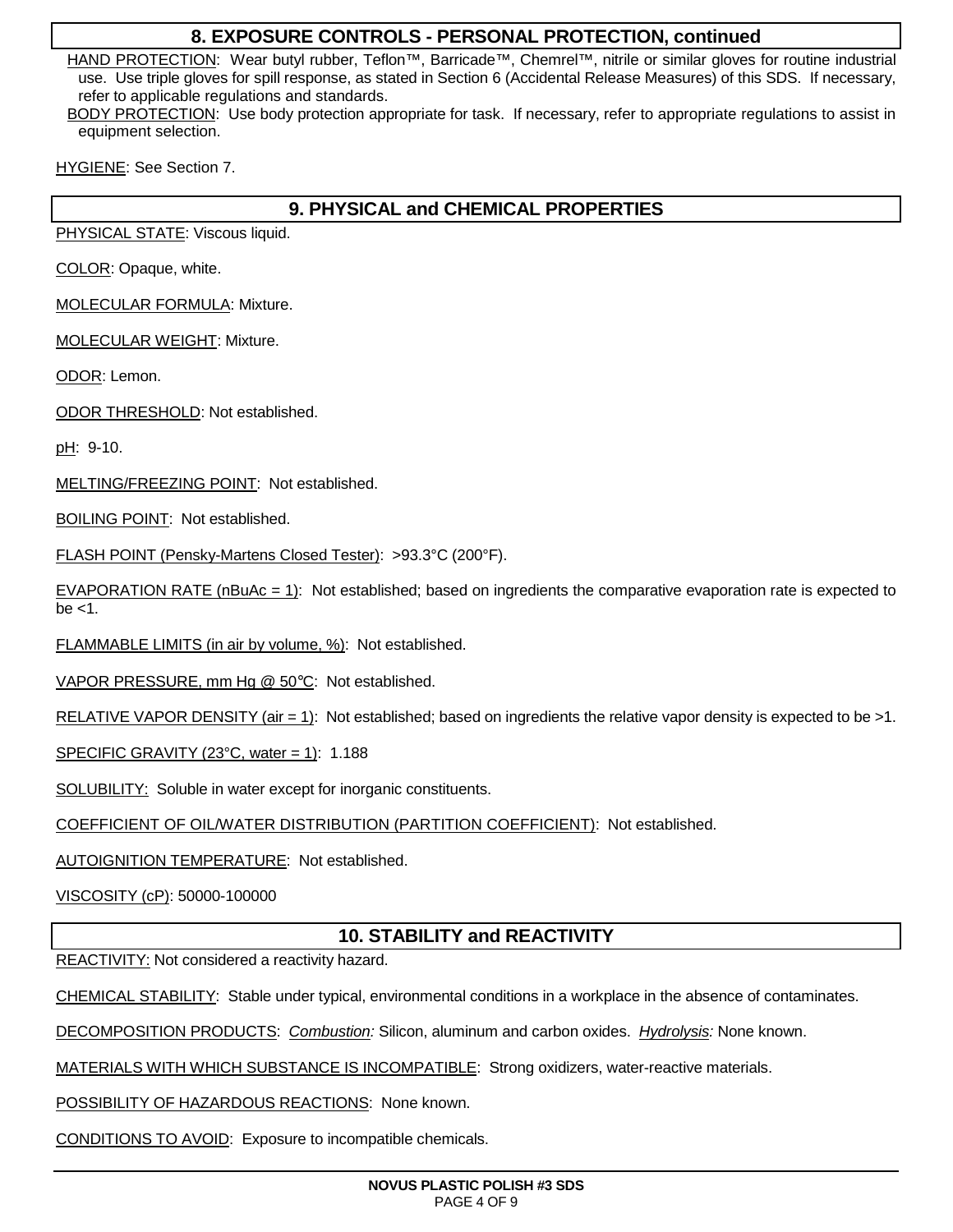### **8. EXPOSURE CONTROLS - PERSONAL PROTECTION, continued**

HAND PROTECTION: Wear butyl rubber, Teflon™, Barricade™, Chemrel™, nitrile or similar gloves for routine industrial use. Use triple gloves for spill response, as stated in Section 6 (Accidental Release Measures) of this SDS. If necessary, refer to applicable regulations and standards.

BODY PROTECTION: Use body protection appropriate for task. If necessary, refer to appropriate regulations to assist in equipment selection.

HYGIENE: See Section 7.

# **9. PHYSICAL and CHEMICAL PROPERTIES**

PHYSICAL STATE: Viscous liquid.

COLOR: Opaque, white.

MOLECULAR FORMULA: Mixture.

MOLECULAR WEIGHT: Mixture.

ODOR: Lemon.

ODOR THRESHOLD: Not established.

pH: 9-10.

MELTING/FREEZING POINT: Not established.

BOILING POINT: Not established.

FLASH POINT (Pensky-Martens Closed Tester): >93.3°C (200°F).

EVAPORATION RATE (nBuAc = 1): Not established; based on ingredients the comparative evaporation rate is expected to  $be < 1$ .

FLAMMABLE LIMITS (in air by volume, %): Not established.

VAPOR PRESSURE, mm Hg @ 50°C: Not established.

RELATIVE VAPOR DENSITY (air = 1): Not established; based on ingredients the relative vapor density is expected to be >1.

SPECIFIC GRAVITY (23 $^{\circ}$ C, water = 1): 1.188

SOLUBILITY: Soluble in water except for inorganic constituents.

COEFFICIENT OF OIL/WATER DISTRIBUTION (PARTITION COEFFICIENT): Not established.

AUTOIGNITION TEMPERATURE: Not established.

VISCOSITY (cP): 50000-100000

# **10. STABILITY and REACTIVITY**

REACTIVITY: Not considered a reactivity hazard.

CHEMICAL STABILITY: Stable under typical, environmental conditions in a workplace in the absence of contaminates.

DECOMPOSITION PRODUCTS: Combustion: Silicon, aluminum and carbon oxides. Hydrolysis: None known.

MATERIALS WITH WHICH SUBSTANCE IS INCOMPATIBLE: Strong oxidizers, water-reactive materials.

POSSIBILITY OF HAZARDOUS REACTIONS: None known.

CONDITIONS TO AVOID: Exposure to incompatible chemicals.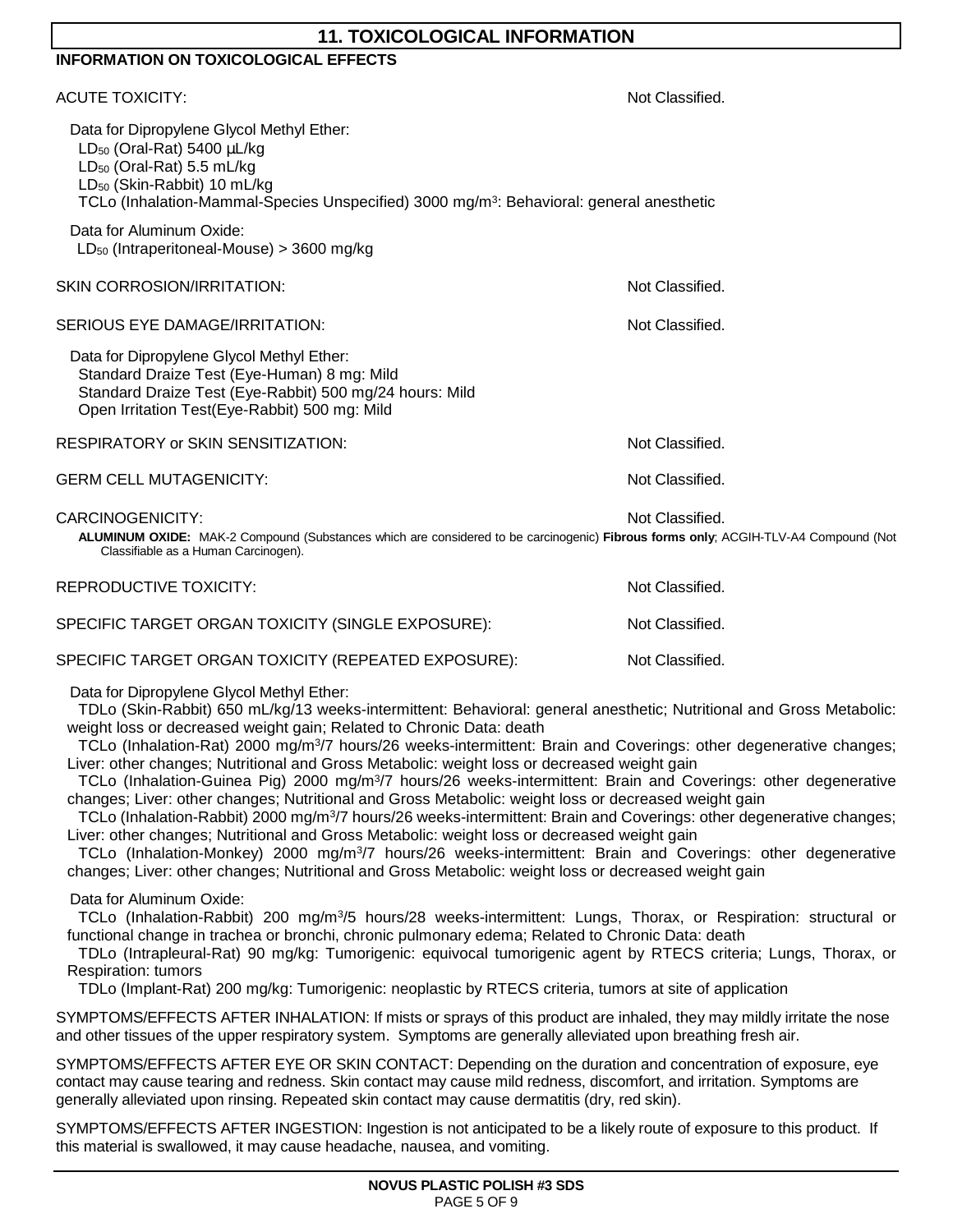| <b>11. TOXICOLOGICAL INFORMATION</b>                                                                                                                                                                                                                                                                                                                                                                                                                                                                                                                                                                                                                                                                                                                                                                                                                                                                                                                                                                                                                                                                                                                                                   |                 |  |  |  |
|----------------------------------------------------------------------------------------------------------------------------------------------------------------------------------------------------------------------------------------------------------------------------------------------------------------------------------------------------------------------------------------------------------------------------------------------------------------------------------------------------------------------------------------------------------------------------------------------------------------------------------------------------------------------------------------------------------------------------------------------------------------------------------------------------------------------------------------------------------------------------------------------------------------------------------------------------------------------------------------------------------------------------------------------------------------------------------------------------------------------------------------------------------------------------------------|-----------------|--|--|--|
| <b>INFORMATION ON TOXICOLOGICAL EFFECTS</b>                                                                                                                                                                                                                                                                                                                                                                                                                                                                                                                                                                                                                                                                                                                                                                                                                                                                                                                                                                                                                                                                                                                                            |                 |  |  |  |
| <b>ACUTE TOXICITY:</b>                                                                                                                                                                                                                                                                                                                                                                                                                                                                                                                                                                                                                                                                                                                                                                                                                                                                                                                                                                                                                                                                                                                                                                 | Not Classified. |  |  |  |
| Data for Dipropylene Glycol Methyl Ether:<br>LD <sub>50</sub> (Oral-Rat) 5400 $\mu$ L/kg<br>LD <sub>50</sub> (Oral-Rat) 5.5 mL/kg<br>LD <sub>50</sub> (Skin-Rabbit) 10 mL/kg<br>TCLo (Inhalation-Mammal-Species Unspecified) 3000 mg/m <sup>3</sup> : Behavioral: general anesthetic                                                                                                                                                                                                                                                                                                                                                                                                                                                                                                                                                                                                                                                                                                                                                                                                                                                                                                   |                 |  |  |  |
| Data for Aluminum Oxide:<br>LD <sub>50</sub> (Intraperitoneal-Mouse) > 3600 mg/kg                                                                                                                                                                                                                                                                                                                                                                                                                                                                                                                                                                                                                                                                                                                                                                                                                                                                                                                                                                                                                                                                                                      |                 |  |  |  |
| <b>SKIN CORROSION/IRRITATION:</b>                                                                                                                                                                                                                                                                                                                                                                                                                                                                                                                                                                                                                                                                                                                                                                                                                                                                                                                                                                                                                                                                                                                                                      | Not Classified. |  |  |  |
| SERIOUS EYE DAMAGE/IRRITATION:                                                                                                                                                                                                                                                                                                                                                                                                                                                                                                                                                                                                                                                                                                                                                                                                                                                                                                                                                                                                                                                                                                                                                         | Not Classified. |  |  |  |
| Data for Dipropylene Glycol Methyl Ether:<br>Standard Draize Test (Eye-Human) 8 mg: Mild<br>Standard Draize Test (Eye-Rabbit) 500 mg/24 hours: Mild<br>Open Irritation Test(Eye-Rabbit) 500 mg: Mild                                                                                                                                                                                                                                                                                                                                                                                                                                                                                                                                                                                                                                                                                                                                                                                                                                                                                                                                                                                   |                 |  |  |  |
| RESPIRATORY or SKIN SENSITIZATION:                                                                                                                                                                                                                                                                                                                                                                                                                                                                                                                                                                                                                                                                                                                                                                                                                                                                                                                                                                                                                                                                                                                                                     | Not Classified. |  |  |  |
| <b>GERM CELL MUTAGENICITY:</b>                                                                                                                                                                                                                                                                                                                                                                                                                                                                                                                                                                                                                                                                                                                                                                                                                                                                                                                                                                                                                                                                                                                                                         | Not Classified. |  |  |  |
| CARCINOGENICITY:<br>ALUMINUM OXIDE: MAK-2 Compound (Substances which are considered to be carcinogenic) Fibrous forms only; ACGIH-TLV-A4 Compound (Not<br>Classifiable as a Human Carcinogen).                                                                                                                                                                                                                                                                                                                                                                                                                                                                                                                                                                                                                                                                                                                                                                                                                                                                                                                                                                                         | Not Classified. |  |  |  |
| <b>REPRODUCTIVE TOXICITY:</b>                                                                                                                                                                                                                                                                                                                                                                                                                                                                                                                                                                                                                                                                                                                                                                                                                                                                                                                                                                                                                                                                                                                                                          | Not Classified. |  |  |  |
| SPECIFIC TARGET ORGAN TOXICITY (SINGLE EXPOSURE):                                                                                                                                                                                                                                                                                                                                                                                                                                                                                                                                                                                                                                                                                                                                                                                                                                                                                                                                                                                                                                                                                                                                      | Not Classified. |  |  |  |
| SPECIFIC TARGET ORGAN TOXICITY (REPEATED EXPOSURE):                                                                                                                                                                                                                                                                                                                                                                                                                                                                                                                                                                                                                                                                                                                                                                                                                                                                                                                                                                                                                                                                                                                                    | Not Classified. |  |  |  |
| Data for Dipropylene Glycol Methyl Ether:<br>TDLo (Skin-Rabbit) 650 mL/kg/13 weeks-intermittent: Behavioral: general anesthetic; Nutritional and Gross Metabolic:<br>weight loss or decreased weight gain; Related to Chronic Data: death<br>TCLo (Inhalation-Rat) 2000 mg/m <sup>3</sup> /7 hours/26 weeks-intermittent: Brain and Coverings: other degenerative changes;<br>Liver: other changes; Nutritional and Gross Metabolic: weight loss or decreased weight gain<br>TCLo (Inhalation-Guinea Pig) 2000 mg/m <sup>3</sup> /7 hours/26 weeks-intermittent: Brain and Coverings: other degenerative<br>changes; Liver: other changes; Nutritional and Gross Metabolic: weight loss or decreased weight gain<br>TCLo (Inhalation-Rabbit) 2000 mg/m <sup>3</sup> /7 hours/26 weeks-intermittent: Brain and Coverings: other degenerative changes;<br>Liver: other changes; Nutritional and Gross Metabolic: weight loss or decreased weight gain<br>TCLo (Inhalation-Monkey) 2000 mg/m <sup>3</sup> /7 hours/26 weeks-intermittent: Brain and Coverings: other degenerative<br>changes; Liver: other changes; Nutritional and Gross Metabolic: weight loss or decreased weight gain |                 |  |  |  |
| Dota for Aluminum Ovidor                                                                                                                                                                                                                                                                                                                                                                                                                                                                                                                                                                                                                                                                                                                                                                                                                                                                                                                                                                                                                                                                                                                                                               |                 |  |  |  |

Data for Aluminum Oxide:

 TCLo (Inhalation-Rabbit) 200 mg/m<sup>3</sup> /5 hours/28 weeks-intermittent: Lungs, Thorax, or Respiration: structural or functional change in trachea or bronchi, chronic pulmonary edema; Related to Chronic Data: death

 TDLo (Intrapleural-Rat) 90 mg/kg: Tumorigenic: equivocal tumorigenic agent by RTECS criteria; Lungs, Thorax, or Respiration: tumors

TDLo (Implant-Rat) 200 mg/kg: Tumorigenic: neoplastic by RTECS criteria, tumors at site of application

SYMPTOMS/EFFECTS AFTER INHALATION: If mists or sprays of this product are inhaled, they may mildly irritate the nose and other tissues of the upper respiratory system. Symptoms are generally alleviated upon breathing fresh air.

SYMPTOMS/EFFECTS AFTER EYE OR SKIN CONTACT: Depending on the duration and concentration of exposure, eye contact may cause tearing and redness. Skin contact may cause mild redness, discomfort, and irritation. Symptoms are generally alleviated upon rinsing. Repeated skin contact may cause dermatitis (dry, red skin).

SYMPTOMS/EFFECTS AFTER INGESTION: Ingestion is not anticipated to be a likely route of exposure to this product. If this material is swallowed, it may cause headache, nausea, and vomiting.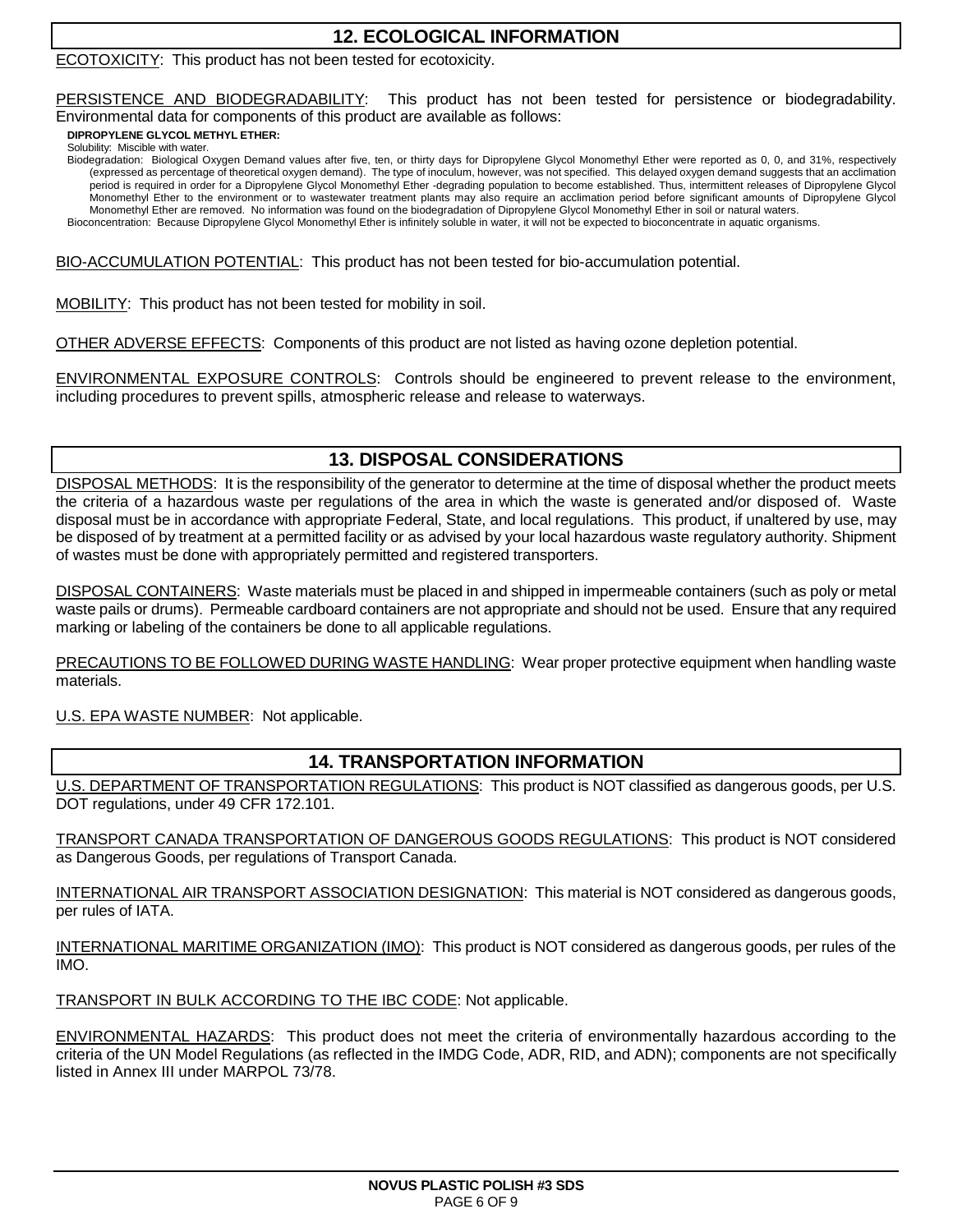# **12. ECOLOGICAL INFORMATION**

#### ECOTOXICITY: This product has not been tested for ecotoxicity.

PERSISTENCE AND BIODEGRADABILITY: This product has not been tested for persistence or biodegradability. Environmental data for components of this product are available as follows:

**DIPROPYLENE GLYCOL METHYL ETHER:**

Solubility: Miscible with water.

Biodegradation: Biological Oxygen Demand values after five, ten, or thirty days for Dipropylene Glycol Monomethyl Ether were reported as 0, 0, and 31%, respectively (expressed as percentage of theoretical oxygen demand). The type of inoculum, however, was not specified. This delayed oxygen demand suggests that an acclimation period is required in order for a Dipropylene Glycol Monomethyl Ether -degrading population to become established. Thus, intermittent releases of Dipropylene Glycol Monomethyl Ether to the environment or to wastewater treatment plants may also require an acclimation period before significant amounts of Dipropylene Glycol Monomethyl Ether are removed. No information was found on the biodegradation of Dipropylene Glycol Monomethyl Ether in soil or natural waters. Bioconcentration: Because Dipropylene Glycol Monomethyl Ether is infinitely soluble in water, it will not be expected to bioconcentrate in aquatic organisms.

BIO-ACCUMULATION POTENTIAL: This product has not been tested for bio-accumulation potential.

MOBILITY: This product has not been tested for mobility in soil.

OTHER ADVERSE EFFECTS: Components of this product are not listed as having ozone depletion potential.

ENVIRONMENTAL EXPOSURE CONTROLS: Controls should be engineered to prevent release to the environment, including procedures to prevent spills, atmospheric release and release to waterways.

# **13. DISPOSAL CONSIDERATIONS**

DISPOSAL METHODS: It is the responsibility of the generator to determine at the time of disposal whether the product meets the criteria of a hazardous waste per regulations of the area in which the waste is generated and/or disposed of. Waste disposal must be in accordance with appropriate Federal, State, and local regulations. This product, if unaltered by use, may be disposed of by treatment at a permitted facility or as advised by your local hazardous waste regulatory authority. Shipment of wastes must be done with appropriately permitted and registered transporters.

DISPOSAL CONTAINERS: Waste materials must be placed in and shipped in impermeable containers (such as poly or metal waste pails or drums). Permeable cardboard containers are not appropriate and should not be used. Ensure that any required marking or labeling of the containers be done to all applicable regulations.

PRECAUTIONS TO BE FOLLOWED DURING WASTE HANDLING: Wear proper protective equipment when handling waste materials.

U.S. EPA WASTE NUMBER: Not applicable.

### **14. TRANSPORTATION INFORMATION**

U.S. DEPARTMENT OF TRANSPORTATION REGULATIONS: This product is NOT classified as dangerous goods, per U.S. DOT regulations, under 49 CFR 172.101.

TRANSPORT CANADA TRANSPORTATION OF DANGEROUS GOODS REGULATIONS: This product is NOT considered as Dangerous Goods, per regulations of Transport Canada.

INTERNATIONAL AIR TRANSPORT ASSOCIATION DESIGNATION: This material is NOT considered as dangerous goods, per rules of IATA.

INTERNATIONAL MARITIME ORGANIZATION (IMO): This product is NOT considered as dangerous goods, per rules of the IMO.

TRANSPORT IN BULK ACCORDING TO THE IBC CODE: Not applicable.

ENVIRONMENTAL HAZARDS: This product does not meet the criteria of environmentally hazardous according to the criteria of the UN Model Regulations (as reflected in the IMDG Code, ADR, RID, and ADN); components are not specifically listed in Annex III under MARPOL 73/78.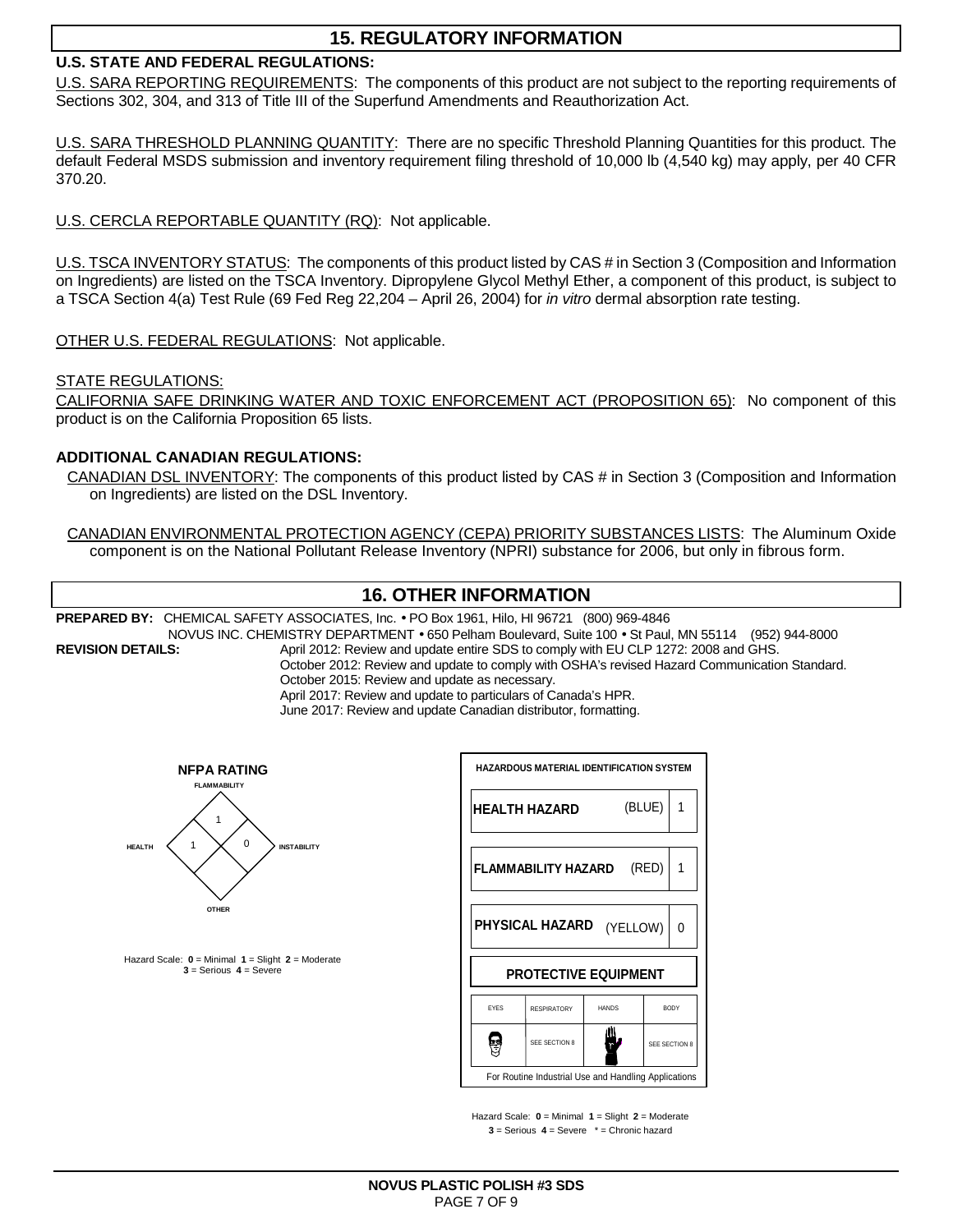# **15. REGULATORY INFORMATION**

### **U.S. STATE AND FEDERAL REGULATIONS:**

U.S. SARA REPORTING REQUIREMENTS: The components of this product are not subject to the reporting requirements of Sections 302, 304, and 313 of Title III of the Superfund Amendments and Reauthorization Act.

U.S. SARA THRESHOLD PLANNING QUANTITY: There are no specific Threshold Planning Quantities for this product. The default Federal MSDS submission and inventory requirement filing threshold of 10,000 lb (4,540 kg) may apply, per 40 CFR 370.20.

U.S. CERCLA REPORTABLE QUANTITY (RQ): Not applicable.

U.S. TSCA INVENTORY STATUS: The components of this product listed by CAS # in Section 3 (Composition and Information on Ingredients) are listed on the TSCA Inventory. Dipropylene Glycol Methyl Ether, a component of this product, is subject to a TSCA Section 4(a) Test Rule (69 Fed Reg 22,204 – April 26, 2004) for in vitro dermal absorption rate testing.

OTHER U.S. FEDERAL REGULATIONS: Not applicable.

STATE REGULATIONS:

CALIFORNIA SAFE DRINKING WATER AND TOXIC ENFORCEMENT ACT (PROPOSITION 65): No component of this product is on the California Proposition 65 lists.

#### **ADDITIONAL CANADIAN REGULATIONS:**

CANADIAN DSL INVENTORY: The components of this product listed by CAS # in Section 3 (Composition and Information on Ingredients) are listed on the DSL Inventory.

CANADIAN ENVIRONMENTAL PROTECTION AGENCY (CEPA) PRIORITY SUBSTANCES LISTS: The Aluminum Oxide component is on the National Pollutant Release Inventory (NPRI) substance for 2006, but only in fibrous form.

# **16. OTHER INFORMATION**

**PREPARED BY:** CHEMICAL SAFETY ASSOCIATES, Inc. • PO Box 1961, Hilo, HI 96721 (800) 969-4846

NOVUS INC. CHEMISTRY DEPARTMENT • 650 Pelham Boulevard, Suite 100 • St Paul, MN 55114 (952) 944-8000<br>REVISION DETAILS: April 2012: Review and update entire SDS to comply with EU CLP 1272: 2008 and GHS.

April 2012: Review and update entire SDS to comply with EU CLP 1272: 2008 and GHS. October 2012: Review and update to comply with OSHA's revised Hazard Communication Standard. October 2015: Review and update as necessary.

April 2017: Review and update to particulars of Canada's HPR.

June 2017: Review and update Canadian distributor, formatting.



Hazard Scale: **0** = Minimal **1** = Slight **2** = Moderate **3** = Serious **4** = Severe

|                                                      | <b>HAZARDOUS MATERIAL IDENTIFICATION SYSTEM</b> |                      |               |  |  |  |
|------------------------------------------------------|-------------------------------------------------|----------------------|---------------|--|--|--|
|                                                      | <b>HEALTH HAZARD</b>                            |                      | (BLUE)<br>1   |  |  |  |
|                                                      | FLAMMABILITY HAZARD                             |                      | (RED)         |  |  |  |
|                                                      | <b>PHYSICAL HAZARD</b>                          | (YELLOW)<br>$\Omega$ |               |  |  |  |
|                                                      | <b>PROTECTIVE EQUIPMENT</b>                     |                      |               |  |  |  |
| <b>FYFS</b>                                          | <b>RESPIRATORY</b>                              | <b>HANDS</b>         | <b>BODY</b>   |  |  |  |
|                                                      | SEE SECTION 8                                   |                      | SEE SECTION 8 |  |  |  |
| For Routine Industrial Use and Handling Applications |                                                 |                      |               |  |  |  |

Hazard Scale: **0** = Minimal **1** = Slight **2** = Moderate **3** = Serious **4** = Severe \* = Chronic hazard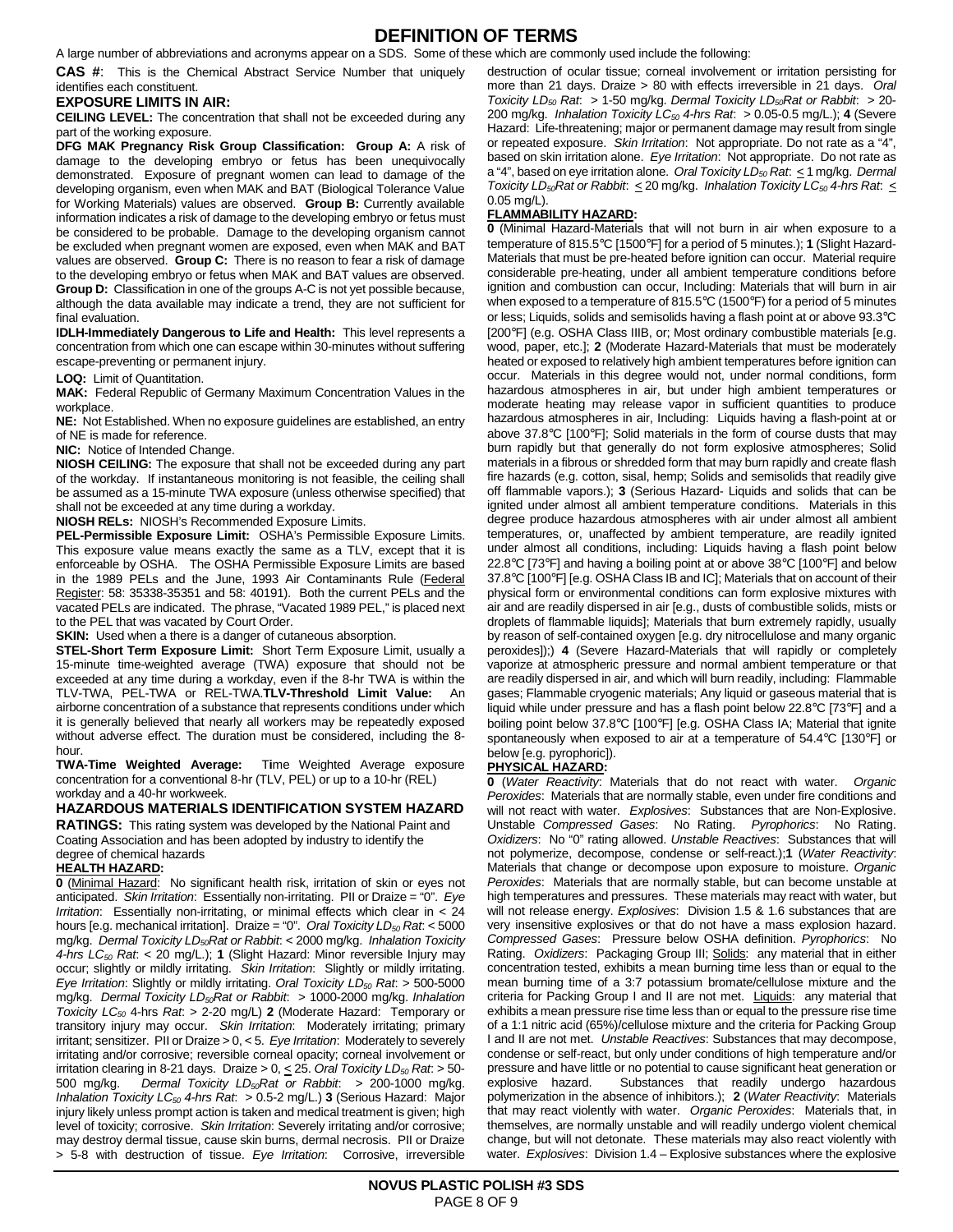## **DEFINITION OF TERMS**

A large number of abbreviations and acronyms appear on a SDS. Some of these which are commonly used include the following:

**CAS #**: This is the Chemical Abstract Service Number that uniquely identifies each constituent.

#### **EXPOSURE LIMITS IN AIR:**

**CEILING LEVEL:** The concentration that shall not be exceeded during any part of the working exposure.

**DFG MAK Pregnancy Risk Group Classification: Group A:** A risk of damage to the developing embryo or fetus has been unequivocally demonstrated. Exposure of pregnant women can lead to damage of the developing organism, even when MAK and BAT (Biological Tolerance Value for Working Materials) values are observed. **Group B:** Currently available information indicates a risk of damage to the developing embryo or fetus must be considered to be probable. Damage to the developing organism cannot be excluded when pregnant women are exposed, even when MAK and BAT values are observed. **Group C:** There is no reason to fear a risk of damage to the developing embryo or fetus when MAK and BAT values are observed. **Group D:** Classification in one of the groups A-C is not yet possible because, although the data available may indicate a trend, they are not sufficient for final evaluation.

**IDLH-Immediately Dangerous to Life and Health:** This level represents a concentration from which one can escape within 30-minutes without suffering escape-preventing or permanent injury.

**LOQ:** Limit of Quantitation.

**MAK:** Federal Republic of Germany Maximum Concentration Values in the workplace.

**NE:** Not Established. When no exposure guidelines are established, an entry of NE is made for reference.

**NIC:** Notice of Intended Change.

**NIOSH CEILING:** The exposure that shall not be exceeded during any part of the workday. If instantaneous monitoring is not feasible, the ceiling shall be assumed as a 15-minute TWA exposure (unless otherwise specified) that shall not be exceeded at any time during a workday.

**NIOSH RELs:** NIOSH's Recommended Exposure Limits.

**PEL-Permissible Exposure Limit:** OSHA's Permissible Exposure Limits. This exposure value means exactly the same as a TLV, except that it is enforceable by OSHA. The OSHA Permissible Exposure Limits are based in the 1989 PELs and the June, 1993 Air Contaminants Rule (Federal Register: 58: 35338-35351 and 58: 40191). Both the current PELs and the vacated PELs are indicated. The phrase, "Vacated 1989 PEL," is placed next to the PEL that was vacated by Court Order.

**SKIN:** Used when a there is a danger of cutaneous absorption.

**STEL-Short Term Exposure Limit:** Short Term Exposure Limit, usually a 15-minute time-weighted average (TWA) exposure that should not be exceeded at any time during a workday, even if the 8-hr TWA is within the TLV-TWA, PEL-TWA or REL-TWA.**TLV-Threshold Limit Value:** An airborne concentration of a substance that represents conditions under which it is generally believed that nearly all workers may be repeatedly exposed without adverse effect. The duration must be considered, including the 8 hour.

**TWA-Time Weighted Average:** T**i**me Weighted Average exposure concentration for a conventional 8-hr (TLV, PEL) or up to a 10-hr (REL) workday and a 40-hr workweek.

**HAZARDOUS MATERIALS IDENTIFICATION SYSTEM HAZARD** 

**RATINGS:** This rating system was developed by the National Paint and Coating Association and has been adopted by industry to identify the degree of chemical hazards

#### **HEALTH HAZARD:**

**0** (Minimal Hazard: No significant health risk, irritation of skin or eyes not anticipated. Skin Irritation: Essentially non-irritating. PII or Draize = "0". Eye Irritation: Essentially non-irritating, or minimal effects which clear in  $< 24$ hours [e.g. mechanical irritation]. Draize = "0". Oral Toxicity  $LD_{50}$  Rat: < 5000 mg/kg. Dermal Toxicity  $LD_{50}$ Rat or Rabbit: < 2000 mg/kg. Inhalation Toxicity 4-hrs  $LC_{50}$  Rat: < 20 mg/L.); **1** (Slight Hazard: Minor reversible Injury may occur; slightly or mildly irritating. Skin Irritation: Slightly or mildly irritating. Eye Irritation: Slightly or mildly irritating. Oral Toxicity  $LD_{50}$  Rat: > 500-5000 mg/kg. Dermal Toxicity LD<sub>50</sub>Rat or Rabbit: > 1000-2000 mg/kg. Inhalation Toxicity LC<sup>50</sup> 4-hrs Rat: > 2-20 mg/L) **2** (Moderate Hazard: Temporary or transitory injury may occur. Skin Irritation: Moderately irritating; primary irritant; sensitizer. PII or Draize  $> 0, < 5$ . Eye Irritation: Moderately to severely irritating and/or corrosive; reversible corneal opacity; corneal involvement or irritation clearing in 8-21 days. Draize > 0,  $\leq$  25. Oral Toxicity LD<sub>50</sub> Rat. > 50-500 mg/kg. Dermal Toxicity  $LD_{50}$ Rat or Rabbit: > 200-1000 mg/kg. Inhalation Toxicity LC<sub>50</sub> 4-hrs Rat: > 0.5-2 mg/L.) 3 (Serious Hazard: Major injury likely unless prompt action is taken and medical treatment is given; high level of toxicity; corrosive. Skin Irritation: Severely irritating and/or corrosive; may destroy dermal tissue, cause skin burns, dermal necrosis. PII or Draize > 5-8 with destruction of tissue. Eye Irritation: Corrosive, irreversible

destruction of ocular tissue; corneal involvement or irritation persisting for more than 21 days. Draize > 80 with effects irreversible in 21 days. Oral Toxicity LD<sub>50</sub> Rat. > 1-50 mg/kg. Dermal Toxicity LD<sub>50</sub>Rat or Rabbit. > 20-200 mg/kg. Inhalation Toxicity  $LC_{50}$  4-hrs Rat:  $> 0.05$ -0.5 mg/L.); 4 (Severe Hazard: Life-threatening; major or permanent damage may result from single or repeated exposure. Skin Irritation: Not appropriate. Do not rate as a "4", based on skin irritation alone. Eye Irritation: Not appropriate. Do not rate as a "4", based on eye irritation alone. Oral Toxicity  $LD_{50}$  Rat:  $\leq$  1 mg/kg. Dermal Toxicity LD<sub>50</sub>Rat or Rabbit:  $\leq$  20 mg/kg. Inhalation Toxicity LC<sub>50</sub> 4-hrs Rat:  $\leq$ 0.05 mg/L).

#### **FLAMMABILITY HAZARD:**

**0** (Minimal Hazard-Materials that will not burn in air when exposure to a temperature of 815.5°C [1500°F] for a period of 5 minutes.); **1** (Slight Hazard-Materials that must be pre-heated before ignition can occur. Material require considerable pre-heating, under all ambient temperature conditions before ignition and combustion can occur, Including: Materials that will burn in air when exposed to a temperature of 815.5°C (1500°F) for a period of 5 minutes or less; Liquids, solids and semisolids having a flash point at or above 93.3°C [200°F] (e.g. OSHA Class IIIB, or; Most ordinary combustible materials [e.g. wood, paper, etc.]; **2** (Moderate Hazard-Materials that must be moderately heated or exposed to relatively high ambient temperatures before ignition can occur. Materials in this degree would not, under normal conditions, form hazardous atmospheres in air, but under high ambient temperatures or moderate heating may release vapor in sufficient quantities to produce hazardous atmospheres in air, Including: Liquids having a flash-point at or above 37.8°C [100°F]; Solid materials in the form of course dusts that may burn rapidly but that generally do not form explosive atmospheres; Solid materials in a fibrous or shredded form that may burn rapidly and create flash fire hazards (e.g. cotton, sisal, hemp; Solids and semisolids that readily give off flammable vapors.); **3** (Serious Hazard- Liquids and solids that can be ignited under almost all ambient temperature conditions. Materials in this degree produce hazardous atmospheres with air under almost all ambient temperatures, or, unaffected by ambient temperature, are readily ignited under almost all conditions, including: Liquids having a flash point below 22.8°C [73°F] and having a boiling point at or above 38°C [100°F] and below 37.8°C [100°F] [e.g. OSHA Class IB and IC]; Materials that on account of their physical form or environmental conditions can form explosive mixtures with air and are readily dispersed in air [e.g., dusts of combustible solids, mists or droplets of flammable liquids]; Materials that burn extremely rapidly, usually by reason of self-contained oxygen [e.g. dry nitrocellulose and many organic peroxides]);) **4** (Severe Hazard-Materials that will rapidly or completely vaporize at atmospheric pressure and normal ambient temperature or that are readily dispersed in air, and which will burn readily, including: Flammable gases; Flammable cryogenic materials; Any liquid or gaseous material that is liquid while under pressure and has a flash point below 22.8°C [73°F] and a boiling point below 37.8°C [100°F] [e.g. OSHA Class IA; Material that ignite spontaneously when exposed to air at a temperature of 54.4°C [130°F] or below [e.g. pyrophoric]).

#### **PHYSICAL HAZARD:**

**0** (Water Reactivity: Materials that do not react with water. Organic Peroxides: Materials that are normally stable, even under fire conditions and will not react with water. Explosives: Substances that are Non-Explosive. Unstable Compressed Gases: No Rating. Pyrophorics: No Rating. Oxidizers: No "0" rating allowed. Unstable Reactives: Substances that will not polymerize, decompose, condense or self-react.);**1** (Water Reactivity: Materials that change or decompose upon exposure to moisture. Organic Peroxides: Materials that are normally stable, but can become unstable at high temperatures and pressures. These materials may react with water, but will not release energy. Explosives: Division 1.5 & 1.6 substances that are very insensitive explosives or that do not have a mass explosion hazard. Compressed Gases: Pressure below OSHA definition. Pyrophorics: No Rating. Oxidizers: Packaging Group III; Solids: any material that in either concentration tested, exhibits a mean burning time less than or equal to the mean burning time of a 3:7 potassium bromate/cellulose mixture and the criteria for Packing Group I and II are not met. Liquids: any material that exhibits a mean pressure rise time less than or equal to the pressure rise time of a 1:1 nitric acid (65%)/cellulose mixture and the criteria for Packing Group I and II are not met. Unstable Reactives: Substances that may decompose, condense or self-react, but only under conditions of high temperature and/or pressure and have little or no potential to cause significant heat generation or explosive hazard. Substances that readily undergo hazardous polymerization in the absence of inhibitors.); **2** (Water Reactivity: Materials that may react violently with water. Organic Peroxides: Materials that, in themselves, are normally unstable and will readily undergo violent chemical change, but will not detonate. These materials may also react violently with water. Explosives: Division 1.4 – Explosive substances where the explosive